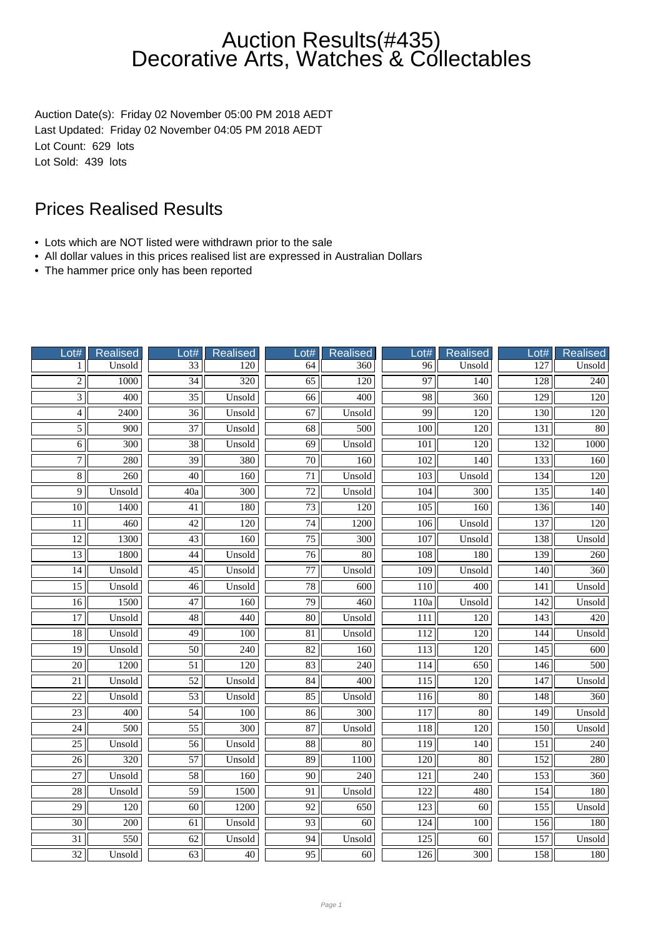Auction Date(s): Friday 02 November 05:00 PM 2018 AEDT Last Updated: Friday 02 November 04:05 PM 2018 AEDT Lot Count: 629 lots Lot Sold: 439 lots

- Lots which are NOT listed were withdrawn prior to the sale
- All dollar values in this prices realised list are expressed in Australian Dollars
- The hammer price only has been reported

| Lot#               | Realised         | Lot#            | <b>Realised</b>  | Lot#                | Realised         | Lot#             | <b>Realised</b>  | Lot#             | <b>Realised</b>  |
|--------------------|------------------|-----------------|------------------|---------------------|------------------|------------------|------------------|------------------|------------------|
| $\mathbf{1}$       | Unsold           | 33              | 120              | 64                  | 360              | 96               | Unsold           | $\overline{127}$ | Unsold           |
| $\overline{2}$     | 1000             | $\overline{34}$ | $\overline{320}$ | $\overline{65}$     | $\overline{120}$ | $\overline{97}$  | 140              | 128              | $\overline{240}$ |
| $\overline{3}$     | $\overline{400}$ | $\overline{35}$ | Unsold           | 66                  | 400              | 98               | 360              | 129              | 120              |
| $\overline{4}$     | 2400             | $\overline{36}$ | Unsold           | 67                  | Unsold           | 99               | 120              | 130              | 120              |
| $\overline{5}$     | 900              | $\overline{37}$ | Unsold           | 68                  | 500              | 100              | 120              | 131              | $80\,$           |
| $\overline{6}$     | $\overline{300}$ | $\overline{38}$ | Unsold           | $\overline{69}$     | Unsold           | 101              | 120              | 132              | 1000             |
| $\overline{7}$     | 280              | $\overline{39}$ | 380              | $\overline{70}$     | 160              | $\overline{102}$ | 140              | 133              | 160              |
| $\overline{\bf 8}$ | $\overline{260}$ | $\overline{40}$ | 160              | $\overline{71}$     | Unsold           | $\overline{103}$ | Unsold           | 134              | 120              |
| $\overline{9}$     | Unsold           | 40a             | $\overline{300}$ | 72                  | Unsold           | 104              | 300              | 135              | 140              |
| 10                 | 1400             | 41              | 180              | 73                  | 120              | 105              | 160              | 136              | 140              |
| 11                 | 460              | $\overline{42}$ | 120              | $\overline{74}$     | 1200             | 106              | Unsold           | 137              | 120              |
| $\overline{12}$    | 1300             | $\overline{43}$ | 160              | $\overline{75}$     | 300              | $\overline{107}$ | Unsold           | 138              | Unsold           |
| $\overline{13}$    | 1800             | $\overline{44}$ | Unsold           | $\overline{76}$     | $\overline{80}$  | $\overline{108}$ | 180              | 139              | 260              |
| 14                 | Unsold           | $\overline{45}$ | Unsold           | 77                  | Unsold           | 109              | Unsold           | 140              | 360              |
| $\overline{15}$    | Unsold           | $\overline{46}$ | Unsold           | 78                  | $\overline{600}$ | 110              | 400              | 141              | Unsold           |
| 16                 | 1500             | $\overline{47}$ | 160              | 79                  | 460              | $110a$           | Unsold           | 142              | Unsold           |
| $\overline{17}$    | Unsold           | $\overline{48}$ | 440              | $\overline{80}$     | Unsold           | 111              | 120              | 143              | 420              |
| 18                 | Unsold           | $\overline{49}$ | 100              | $\overline{81}$     | Unsold           | 112              | 120              | 144              | Unsold           |
| $\overline{19}$    | Unsold           | $\overline{50}$ | $\overline{240}$ | $\overline{82}$     | 160              | $\overline{113}$ | $\overline{120}$ | $\overline{145}$ | 600              |
| $\overline{20}$    | 1200             | 51              | 120              | 83                  | 240              | 114              | 650              | 146              | 500              |
| 21                 | Unsold           | 52              | Unsold           | 84                  | 400              | 115              | 120              | 147              | Unsold           |
| $\overline{22}$    | Unsold           | $\overline{53}$ | Unsold           | 85                  | Unsold           | 116              | $\overline{80}$  | 148              | 360              |
| $\overline{23}$    | $\overline{400}$ | $\overline{54}$ | 100              | $\overline{86}$     | $\overline{300}$ | $\overline{117}$ | $\overline{80}$  | 149              | Unsold           |
| $\overline{24}$    | 500              | $\overline{55}$ | 300              | 87                  | Unsold           | 118              | 120              | 150              | Unsold           |
| $\overline{25}$    | Unsold           | 56              | Unsold           | $\overline{\bf 88}$ | $\overline{80}$  | 119              | 140              | 151              | 240              |
| $\overline{26}$    | 320              | $\overline{57}$ | Unsold           | 89                  | 1100             | 120              | 80               | 152              | 280              |
| $27\,$             | Unsold           | 58              | 160              | 90                  | 240              | 121              | 240              | 153              | 360              |
| $\overline{28}$    | Unsold           | $\overline{59}$ | 1500             | $\overline{91}$     | Unsold           | $\overline{122}$ | 480              | 154              | 180              |
| $\overline{29}$    | $\overline{120}$ | $\overline{60}$ | 1200             | $\overline{92}$     | 650              | $\overline{123}$ | $\overline{60}$  | 155              | Unsold           |
| $\overline{30}$    | 200              | 61              | Unsold           | 93                  | $\overline{60}$  | 124              | 100              | 156              | 180              |
| 31                 | 550              | 62              | Unsold           | 94                  | Unsold           | 125              | 60               | 157              | Unsold           |
| 32                 | Unsold           | 63              | 40               | 95                  | 60               | 126              | 300              | 158              | 180              |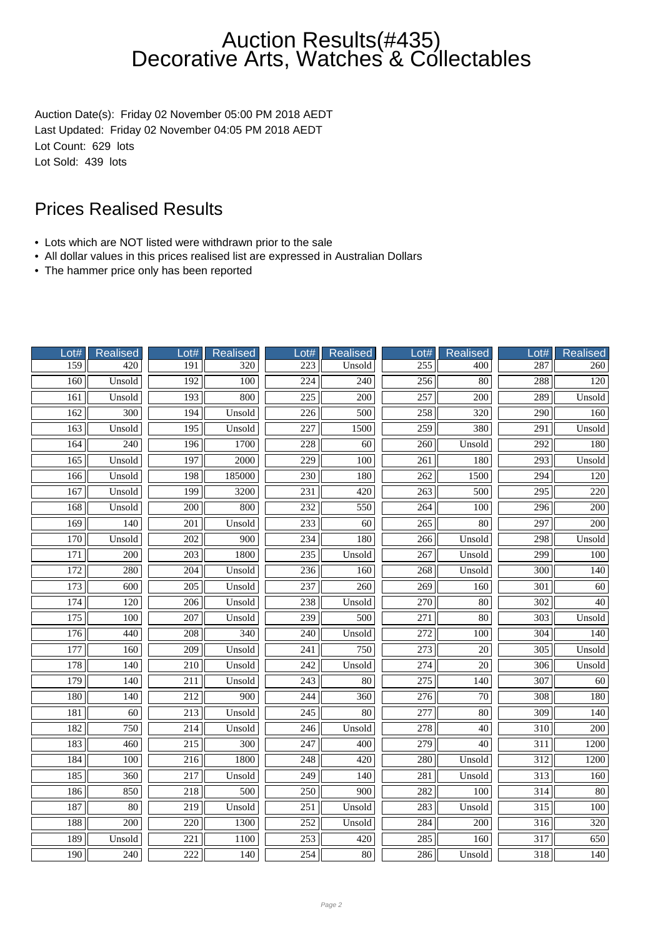Auction Date(s): Friday 02 November 05:00 PM 2018 AEDT Last Updated: Friday 02 November 04:05 PM 2018 AEDT Lot Count: 629 lots Lot Sold: 439 lots

- Lots which are NOT listed were withdrawn prior to the sale
- All dollar values in this prices realised list are expressed in Australian Dollars
- The hammer price only has been reported

| Lot#             | Realised         | Lot#             | <b>Realised</b>  | Lot#             | <b>Realised</b>  | Lot#             | <b>Realised</b>  | Lot#             | <b>Realised</b> |
|------------------|------------------|------------------|------------------|------------------|------------------|------------------|------------------|------------------|-----------------|
| 159              | 420              | 191              | 320              | 223              | Unsold           | 255              | 400              | 287              | 260             |
| 160              | Unsold           | 192              | $\overline{100}$ | $\overline{224}$ | $\overline{240}$ | 256              | $\overline{80}$  | 288              | 120             |
| 161              | Unsold           | 193              | 800              | 225              | 200              | 257              | 200              | 289              | Unsold          |
| 162              | 300              | 194              | Unsold           | 226              | 500              | 258              | 320              | 290              | 160             |
| 163              | Unsold           | $\overline{195}$ | Unsold           | 227              | 1500             | 259              | 380              | 291              | Unsold          |
| 164              | 240              | 196              | 1700             | 228              | 60               | $\overline{260}$ | Unsold           | $\overline{292}$ | 180             |
| 165              | Unsold           | 197              | 2000             | $\overline{229}$ | $\overline{100}$ | $\overline{261}$ | 180              | $\overline{293}$ | Unsold          |
| 166              | Unsold           | 198              | 185000           | $\overline{230}$ | 180              | 262              | 1500             | $\overline{294}$ | 120             |
| 167              | Unsold           | 199              | 3200             | 231              | 420              | 263              | 500              | 295              | 220             |
| 168              | Unsold           | 200              | 800              | 232              | 550              | 264              | 100              | 296              | 200             |
| 169              | 140              | 201              | Unsold           | 233              | 60               | 265              | $80\,$           | 297              | 200             |
| 170              | Unsold           | $\overline{202}$ | $\overline{900}$ | 234              | 180              | $\overline{266}$ | Unsold           | 298              | Unsold          |
| 171              | 200              | 203              | 1800             | 235              | Unsold           | 267              | Unsold           | 299              | 100             |
| 172              | 280              | $\overline{204}$ | Unsold           | 236              | 160              | 268              | Unsold           | $\overline{300}$ | 140             |
| 173              | 600              | $\overline{205}$ | Unsold           | 237              | 260              | 269              | 160              | 301              | 60              |
| 174              | 120              | 206              | Unsold           | 238              | Unsold           | 270              | $80\,$           | 302              | 40              |
| $\overline{175}$ | $\overline{100}$ | $\overline{207}$ | Unsold           | 239              | $\overline{500}$ | $\overline{271}$ | $\overline{80}$  | $\overline{303}$ | Unsold          |
| 176              | 440              | 208              | $\overline{340}$ | 240              | Unsold           | 272              | 100              | 304              | 140             |
| 177              | 160              | 209              | Unsold           | 241              | 750              | $\overline{273}$ | $\overline{20}$  | $\overline{305}$ | Unsold          |
| 178              | 140              | 210              | Unsold           | 242              | Unsold           | $\overline{274}$ | $\overline{20}$  | 306              | Unsold          |
| 179              | 140              | 211              | Unsold           | 243              | 80               | 275              | 140              | 307              | 60              |
| 180              | $\overline{140}$ | $\overline{212}$ | $\overline{900}$ | 244              | $\overline{360}$ | $\overline{276}$ | $\overline{70}$  | $\overline{308}$ | 180             |
| 181              | 60               | $\overline{213}$ | Unsold           | 245              | 80               | $\overline{277}$ | $\overline{80}$  | $\overline{309}$ | 140             |
| 182              | 750              | $\overline{214}$ | Unsold           | $\overline{246}$ | Unsold           | 278              | $\overline{40}$  | 310              | 200             |
| 183              | 460              | $\overline{215}$ | 300              | 247              | 400              | 279              | 40               | $\overline{311}$ | 1200            |
| 184              | 100              | 216              | 1800             | 248              | 420              | 280              | Unsold           | 312              | 1200            |
| 185              | 360              | 217              | Unsold           | 249              | 140              | 281              | Unsold           | 313              | 160             |
| 186              | 850              | 218              | 500              | 250              | 900              | 282              | 100              | 314              | 80              |
| 187              | $\overline{80}$  | $\overline{219}$ | Unsold           | 251              | Unsold           | 283              | Unsold           | $\overline{315}$ | 100             |
| 188              | 200              | 220              | 1300             | 252              | Unsold           | 284              | $\overline{200}$ | $\overline{316}$ | 320             |
| 189              | Unsold           | 221              | 1100             | 253              | 420              | 285              | 160              | 317              | 650             |
| 190              | 240              | 222              | 140              | 254              | 80               | 286              | Unsold           | 318              | 140             |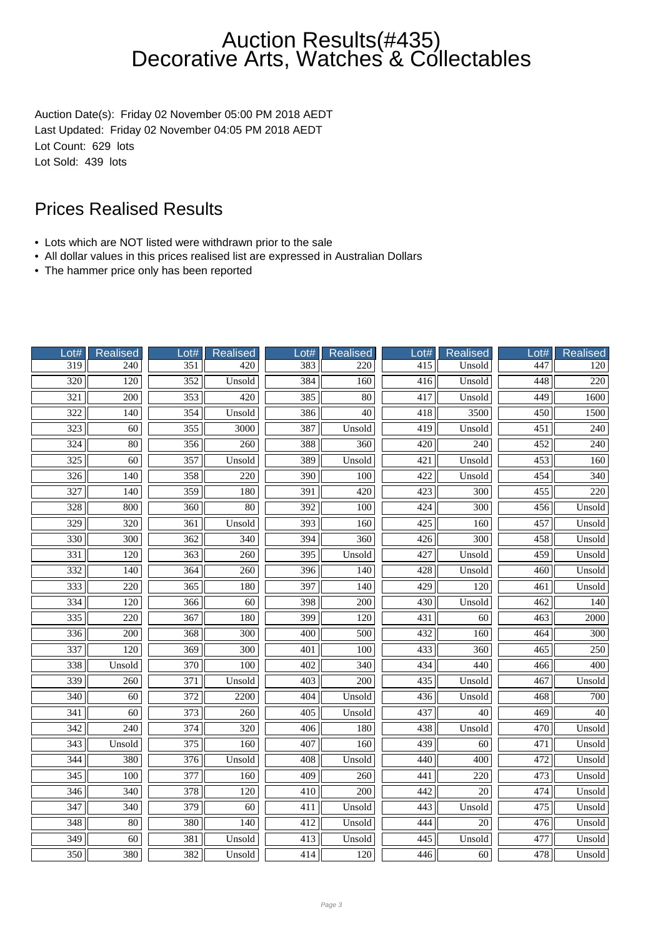Auction Date(s): Friday 02 November 05:00 PM 2018 AEDT Last Updated: Friday 02 November 04:05 PM 2018 AEDT Lot Count: 629 lots Lot Sold: 439 lots

- Lots which are NOT listed were withdrawn prior to the sale
- All dollar values in this prices realised list are expressed in Australian Dollars
- The hammer price only has been reported

| Lot#             | Realised         | Lot#             | <b>Realised</b>  | Lot#             | <b>Realised</b>  | Lot#             | Realised        | Lot#             | <b>Realised</b>  |
|------------------|------------------|------------------|------------------|------------------|------------------|------------------|-----------------|------------------|------------------|
| $\overline{319}$ | 240              | $\overline{351}$ | 420              | 383              | 220              | 415              | Unsold          | 447              | 120              |
| $\overline{320}$ | $\overline{120}$ | $\overline{352}$ | Unsold           | 384              | 160              | 416              | Unsold          | 448              | $\overline{220}$ |
| $\overline{321}$ | $\overline{200}$ | 353              | 420              | 385              | 80               | 417              | Unsold          | 449              | 1600             |
| $\overline{322}$ | 140              | 354              | Unsold           | 386              | $\overline{40}$  | 418              | 3500            | 450              | 1500             |
| 323              | 60               | 355              | 3000             | 387              | Unsold           | 419              | Unsold          | 451              | 240              |
| 324              | $\overline{80}$  | 356              | 260              | 388              | 360              | 420              | 240             | $\overline{452}$ | 240              |
| 325              | 60               | 357              | Unsold           | 389              | Unsold           | 421              | Unsold          | 453              | 160              |
| $\overline{326}$ | $\overline{140}$ | 358              | $\overline{220}$ | 390              | 100              | 422              | Unsold          | 454              | 340              |
| 327              | 140              | 359              | 180              | 391              | 420              | 423              | 300             | 455              | 220              |
| 328              | 800              | 360              | $80\,$           | 392              | 100              | 424              | 300             | 456              | Unsold           |
| 329              | 320              | 361              | Unsold           | 393              | 160              | 425              | 160             | 457              | Unsold           |
| 330              | 300              | 362              | 340              | $\overline{394}$ | 360              | 426              | 300             | 458              | Unsold           |
| $\overline{331}$ | 120              | $\overline{363}$ | $\overline{260}$ | $\overline{395}$ | Unsold           | 427              | Unsold          | 459              | Unsold           |
| 332              | 140              | 364              | 260              | 396              | 140              | 428              | Unsold          | 460              | Unsold           |
| 333              | 220              | $\overline{365}$ | 180              | 397              | 140              | $\frac{429}{ }$  | 120             | 461              | Unsold           |
| 334              | 120              | 366              | 60               | 398              | 200              | 430              | Unsold          | 462              | 140              |
| $\frac{1}{335}$  | 220              | $\overline{367}$ | 180              | 399              | 120              | $\overline{431}$ | $\overline{60}$ | $\overline{463}$ | 2000             |
| 336              | 200              | 368              | $\overline{300}$ | 400              | 500              | 432              | 160             | 464              | 300              |
| 337              | 120              | $\overline{369}$ | $\overline{300}$ | 401              | 100              | 433              | 360             | 465              | 250              |
| 338              | Unsold           | 370              | 100              | 402              | 340              | 434              | 440             | 466              | 400              |
| 339              | 260              | 371              | Unsold           | 403              | 200              | 435              | Unsold          | 467              | Unsold           |
| 340              | 60               | 372              | 2200             | 404              | Unsold           | 436              | Unsold          | 468              | 700              |
| 341              | $\overline{60}$  | $\overline{373}$ | $\overline{260}$ | $\overline{405}$ | Unsold           | $\overline{437}$ | $\overline{40}$ | $\overline{469}$ | $\overline{40}$  |
| $\overline{342}$ | $\overline{240}$ | $\overline{374}$ | 320              | 406              | 180              | 438              | Unsold          | 470              | Unsold           |
| 343              | Unsold           | 375              | 160              | 407              | 160              | 439              | 60              | 471              | Unsold           |
| 344              | 380              | 376              | Unsold           | 408              | Unsold           | 440              | 400             | 472              | Unsold           |
| 345              | 100              | 377              | 160              | 409              | 260              | 441              | 220             | 473              | Unsold           |
| $\overline{346}$ | 340              | $\overline{378}$ | 120              | 410              | $\overline{200}$ | 442              | $\overline{20}$ | 474              | Unsold           |
| 347              | 340              | 379              | 60               | 411              | Unsold           | 443              | Unsold          | 475              | Unsold           |
| 348              | 80               | 380              | 140              | 412              | Unsold           | 444              | $\overline{20}$ | 476              | Unsold           |
| 349              | 60               | 381              | Unsold           | 413              | Unsold           | 445              | Unsold          | 477              | Unsold           |
| 350              | 380              | 382              | Unsold           | 414              | 120              | 446              | 60              | 478              | Unsold           |